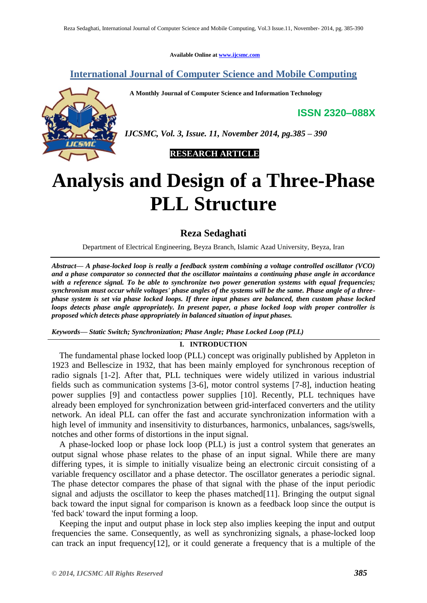**Available Online at [www.ijcsmc.com](http://www.ijcsmc.com/)**

## **International Journal of Computer Science and Mobile Computing**

 **A Monthly Journal of Computer Science and Information Technology**

**ISSN 2320–088X**



*IJCSMC, Vol. 3, Issue. 11, November 2014, pg.385 – 390*

 **RESEARCH ARTICLE**

# **Analysis and Design of a Three-Phase PLL Structure**

**Reza Sedaghati**

Department of Electrical Engineering, Beyza Branch, Islamic Azad University, Beyza, Iran

*Abstract— A phase-locked loop is really a feedback system combining a voltage controlled oscillator (VCO) and a phase comparator so connected that the oscillator maintains a continuing phase angle in accordance with a reference signal. To be able to synchronize two power generation systems with equal frequencies; synchronism must occur while voltages' phase angles of the systems will be the same. Phase angle of a threephase system is set via phase locked loops. If three input phases are balanced, then custom phase locked loops detects phase angle appropriately. In present paper, a phase locked loop with proper controller is proposed which detects phase appropriately in balanced situation of input phases.* 

*Keywords— Static Switch; Synchronization; Phase Angle; Phase Locked Loop (PLL)*

## **I. INTRODUCTION**

The fundamental phase locked loop (PLL) concept was originally published by Appleton in 1923 and Bellescize in 1932, that has been mainly employed for synchronous reception of radio signals [1-2]. After that, PLL techniques were widely utilized in various industrial fields such as communication systems [3-6], motor control systems [7-8], induction heating power supplies [9] and contactless power supplies [10]. Recently, PLL techniques have already been employed for synchronization between grid-interfaced converters and the utility network. An ideal PLL can offer the fast and accurate synchronization information with a high level of immunity and insensitivity to disturbances, harmonics, unbalances, sags/swells, notches and other forms of distortions in the input signal.

A phase-locked loop or phase lock loop (PLL) is just a [control system](http://en.wikipedia.org/wiki/Control_system) that generates an output [signal](http://en.wikipedia.org/wiki/Signal_%28electrical_engineering%29) whose [phase](http://en.wikipedia.org/wiki/Phase_%28waves%29) relates to the phase of an input signal. While there are many differing types, it is simple to initially visualize being an [electronic circuit](http://en.wikipedia.org/wiki/Electronic_circuit) consisting of a variable frequency [oscillator](http://en.wikipedia.org/wiki/Electronic_oscillator) and a [phase detector.](http://en.wikipedia.org/wiki/Phase_detector) The oscillator generates a periodic signal. The phase detector compares the phase of that signal with the phase of the input periodic signal and adjusts the oscillator to keep the phases matched [11]. Bringing the output signal back toward the input signal for comparison is known as a [feedback loop](http://en.wikipedia.org/wiki/Feedback_loop) since the output is 'fed back' toward the input forming a loop.

Keeping the input and output phase in lock step also implies keeping the input and output frequencies the same. Consequently, as well as synchronizing signals, a phase-locked loop can track an input frequency[12], or it could generate a frequency that is a multiple of the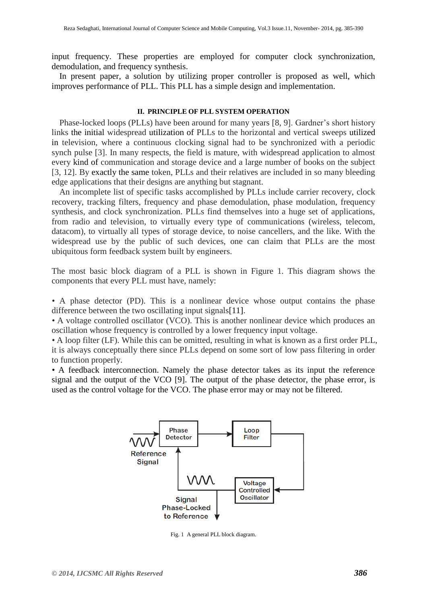input frequency. These properties are employed for computer clock synchronization, [demodulation,](http://en.wikipedia.org/wiki/Demodulation) and [frequency synthesis.](http://en.wikipedia.org/wiki/Frequency_synthesis)

In present paper, a solution by utilizing proper controller is proposed as well, which improves performance of PLL. This PLL has a simple design and implementation.

### **II. PRINCIPLE OF PLL SYSTEM OPERATION**

Phase-locked loops (PLLs) have been around for many years [8, 9]. Gardner's short history links the initial widespread utilization of PLLs to the horizontal and vertical sweeps utilized in television, where a continuous clocking signal had to be synchronized with a periodic synch pulse [3]. In many respects, the field is mature, with widespread application to almost every kind of communication and storage device and a large number of books on the subject [3, 12]. By exactly the same token, PLLs and their relatives are included in so many bleeding edge applications that their designs are anything but stagnant.

An incomplete list of specific tasks accomplished by PLLs include carrier recovery, clock recovery, tracking filters, frequency and phase demodulation, phase modulation, frequency synthesis, and clock synchronization. PLLs find themselves into a huge set of applications, from radio and television, to virtually every type of communications (wireless, telecom, datacom), to virtually all types of storage device, to noise cancellers, and the like. With the widespread use by the public of such devices, one can claim that PLLs are the most ubiquitous form feedback system built by engineers.

The most basic block diagram of a PLL is shown in Figure 1. This diagram shows the components that every PLL must have, namely:

*•* A phase detector (PD). This is a nonlinear device whose output contains the phase difference between the two oscillating input signals[11].

*•* A voltage controlled oscillator (VCO). This is another nonlinear device which produces an oscillation whose frequency is controlled by a lower frequency input voltage.

*•* A loop filter (LF). While this can be omitted, resulting in what is known as a first order PLL, it is always conceptually there since PLLs depend on some sort of low pass filtering in order to function properly.

*•* A feedback interconnection. Namely the phase detector takes as its input the reference signal and the output of the VCO [9]. The output of the phase detector, the phase error, is used as the control voltage for the VCO. The phase error may or may not be filtered.



Fig. 1 A general PLL block diagram.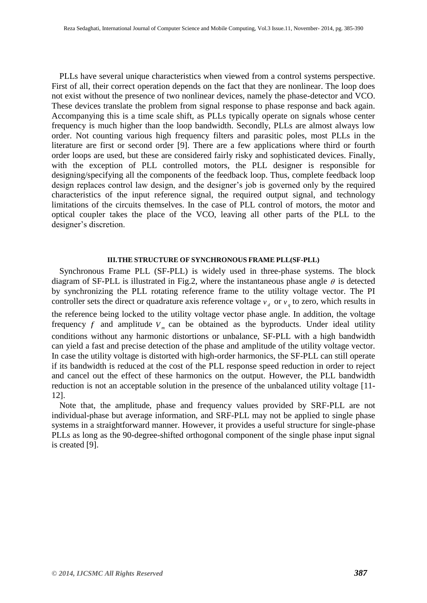PLLs have several unique characteristics when viewed from a control systems perspective. First of all, their correct operation depends on the fact that they are nonlinear. The loop does not exist without the presence of two nonlinear devices, namely the phase-detector and VCO. These devices translate the problem from signal response to phase response and back again. Accompanying this is a time scale shift, as PLLs typically operate on signals whose center frequency is much higher than the loop bandwidth. Secondly, PLLs are almost always low order. Not counting various high frequency filters and parasitic poles, most PLLs in the literature are first or second order [9]. There are a few applications where third or fourth order loops are used, but these are considered fairly risky and sophisticated devices. Finally, with the exception of PLL controlled motors, the PLL designer is responsible for designing/specifying all the components of the feedback loop. Thus, complete feedback loop design replaces control law design, and the designer's job is governed only by the required characteristics of the input reference signal, the required output signal, and technology limitations of the circuits themselves. In the case of PLL control of motors, the motor and optical coupler takes the place of the VCO, leaving all other parts of the PLL to the designer's discretion.

#### **III.THE STRUCTURE OF SYNCHRONOUS FRAME PLL(SF-PLL)**

Synchronous Frame PLL (SF-PLL) is widely used in three-phase systems. The block diagram of SF-PLL is illustrated in Fig.2, where the instantaneous phase angle  $\theta$  is detected by synchronizing the PLL rotating reference frame to the utility voltage vector. The PI controller sets the direct or quadrature axis reference voltage  $v_d$  or  $v_g$  to zero, which results in the reference being locked to the utility voltage vector phase angle. In addition, the voltage frequency  $f$  and amplitude  $V_m$  can be obtained as the byproducts. Under ideal utility conditions without any harmonic distortions or unbalance, SF-PLL with a high bandwidth can yield a fast and precise detection of the phase and amplitude of the utility voltage vector. In case the utility voltage is distorted with high-order harmonics, the SF-PLL can still operate if its bandwidth is reduced at the cost of the PLL response speed reduction in order to reject and cancel out the effect of these harmonics on the output. However, the PLL bandwidth reduction is not an acceptable solution in the presence of the unbalanced utility voltage [11- 12].

Note that, the amplitude, phase and frequency values provided by SRF-PLL are not individual-phase but average information, and SRF-PLL may not be applied to single phase systems in a straightforward manner. However, it provides a useful structure for single-phase PLLs as long as the 90-degree-shifted orthogonal component of the single phase input signal is created [9].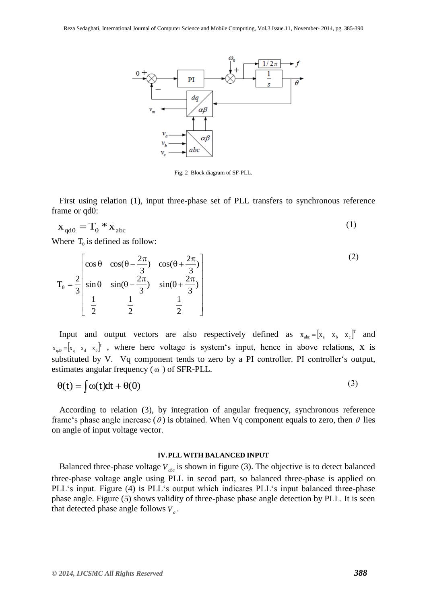

Fig. 2 Block diagram of SF-PLL.

First using relation (1), input three-phase set of PLL transfers to synchronous reference frame or qd0:

$$
\mathbf{x}_{\rm qd0} = \mathbf{T}_{\rm \theta} * \mathbf{x}_{\rm abc} \tag{1}
$$

Where  $T_{\theta}$  is defined as follow:

$$
T_{\theta} = \frac{2}{3} \begin{bmatrix} \cos \theta & \cos(\theta - \frac{2\pi}{3}) & \cos(\theta + \frac{2\pi}{3}) \\ \sin \theta & \sin(\theta - \frac{2\pi}{3}) & \sin(\theta + \frac{2\pi}{3}) \\ \frac{1}{2} & \frac{1}{2} & \frac{1}{2} \end{bmatrix}
$$
 (2)

Input and output vectors are also respectively defined as  $x_{abc} = [x_a \ x_b \ x_c]^T$  and  $x_{\alpha d0} = [x_{\alpha} \ x_d \ x_0]^T$ , where here voltage is system's input, hence in above relations, x is substituted by V. Vq component tends to zero by a PI controller. PI controller's output, estimates angular frequency ( $\omega$ ) of SFR-PLL.

$$
\theta(t) = \int \omega(t)dt + \theta(0) \tag{3}
$$

According to relation (3), by integration of angular frequency, synchronous reference frame's phase angle increase ( $\theta$ ) is obtained. When Vq component equals to zero, then  $\theta$  lies on angle of input voltage vector.

#### **IV.PLL WITH BALANCED INPUT**

Balanced three-phase voltage  $V_{abc}$  is shown in figure (3). The objective is to detect balanced three-phase voltage angle using PLL in secod part, so balanced three-phase is applied on PLL's input. Figure (4) is PLL's output which indicates PLL's input balanced three-phase phase angle. Figure (5) shows validity of three-phase phase angle detection by PLL. It is seen that detected phase angle follows  $V_a$ .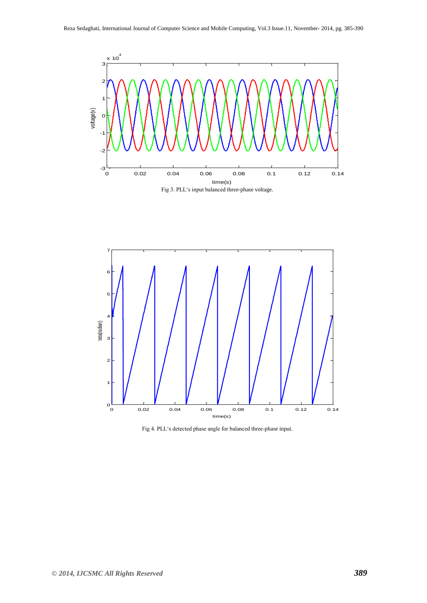



Fig 4. PLL's detected phase angle for balanced three-phase input.